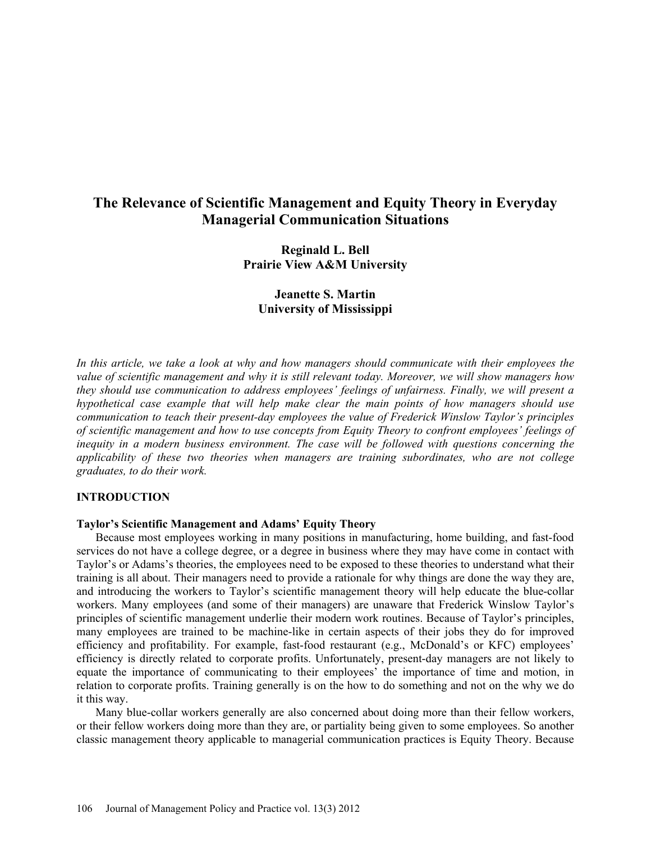# **The Relevance of Scientific Management and Equity Theory in Everyday Managerial Communication Situations**

**Reginald L. Bell Prairie View A&M University**

**Jeanette S. Martin University of Mississippi**

*In this article, we take a look at why and how managers should communicate with their employees the value of scientific management and why it is still relevant today. Moreover, we will show managers how they should use communication to address employees' feelings of unfairness. Finally, we will present a hypothetical case example that will help make clear the main points of how managers should use communication to teach their present-day employees the value of Frederick Winslow Taylor's principles of scientific management and how to use concepts from Equity Theory to confront employees' feelings of inequity in a modern business environment. The case will be followed with questions concerning the applicability of these two theories when managers are training subordinates, who are not college graduates, to do their work.*

# **INTRODUCTION**

## **Taylor's Scientific Management and Adams' Equity Theory**

Because most employees working in many positions in manufacturing, home building, and fast-food services do not have a college degree, or a degree in business where they may have come in contact with Taylor's or Adams's theories, the employees need to be exposed to these theories to understand what their training is all about. Their managers need to provide a rationale for why things are done the way they are, and introducing the workers to Taylor's scientific management theory will help educate the blue-collar workers. Many employees (and some of their managers) are unaware that Frederick Winslow Taylor's principles of scientific management underlie their modern work routines. Because of Taylor's principles, many employees are trained to be machine-like in certain aspects of their jobs they do for improved efficiency and profitability. For example, fast-food restaurant (e.g., McDonald's or KFC) employees' efficiency is directly related to corporate profits. Unfortunately, present-day managers are not likely to equate the importance of communicating to their employees' the importance of time and motion, in relation to corporate profits. Training generally is on the how to do something and not on the why we do it this way.

Many blue-collar workers generally are also concerned about doing more than their fellow workers, or their fellow workers doing more than they are, or partiality being given to some employees. So another classic management theory applicable to managerial communication practices is Equity Theory. Because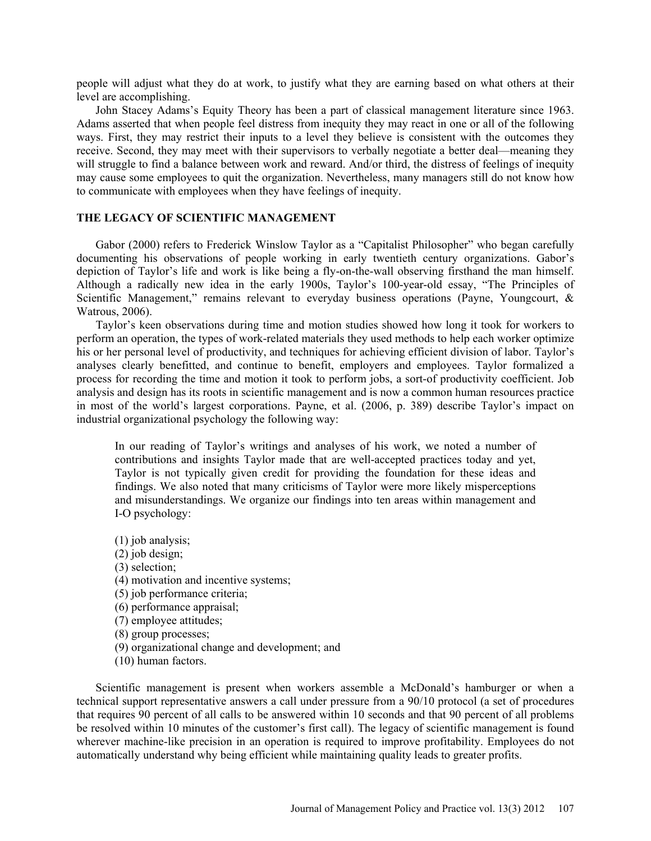people will adjust what they do at work, to justify what they are earning based on what others at their level are accomplishing.

John Stacey Adams's Equity Theory has been a part of classical management literature since 1963. Adams asserted that when people feel distress from inequity they may react in one or all of the following ways. First, they may restrict their inputs to a level they believe is consistent with the outcomes they receive. Second, they may meet with their supervisors to verbally negotiate a better deal—meaning they will struggle to find a balance between work and reward. And/or third, the distress of feelings of inequity may cause some employees to quit the organization. Nevertheless, many managers still do not know how to communicate with employees when they have feelings of inequity.

# **THE LEGACY OF SCIENTIFIC MANAGEMENT**

Gabor (2000) refers to Frederick Winslow Taylor as a "Capitalist Philosopher" who began carefully documenting his observations of people working in early twentieth century organizations. Gabor's depiction of Taylor's life and work is like being a fly-on-the-wall observing firsthand the man himself. Although a radically new idea in the early 1900s, Taylor's 100-year-old essay, "The Principles of Scientific Management," remains relevant to everyday business operations (Payne, Youngcourt, & Watrous, 2006).

Taylor's keen observations during time and motion studies showed how long it took for workers to perform an operation, the types of work-related materials they used methods to help each worker optimize his or her personal level of productivity, and techniques for achieving efficient division of labor. Taylor's analyses clearly benefitted, and continue to benefit, employers and employees. Taylor formalized a process for recording the time and motion it took to perform jobs, a sort-of productivity coefficient. Job analysis and design has its roots in scientific management and is now a common human resources practice in most of the world's largest corporations. Payne, et al. (2006, p. 389) describe Taylor's impact on industrial organizational psychology the following way:

In our reading of Taylor's writings and analyses of his work, we noted a number of contributions and insights Taylor made that are well-accepted practices today and yet, Taylor is not typically given credit for providing the foundation for these ideas and findings. We also noted that many criticisms of Taylor were more likely misperceptions and misunderstandings. We organize our findings into ten areas within management and I-O psychology:

(1) job analysis; (2) job design; (3) selection; (4) motivation and incentive systems; (5) job performance criteria; (6) performance appraisal; (7) employee attitudes; (8) group processes; (9) organizational change and development; and (10) human factors.

Scientific management is present when workers assemble a McDonald's hamburger or when a technical support representative answers a call under pressure from a 90/10 protocol (a set of procedures that requires 90 percent of all calls to be answered within 10 seconds and that 90 percent of all problems be resolved within 10 minutes of the customer's first call). The legacy of scientific management is found wherever machine-like precision in an operation is required to improve profitability. Employees do not automatically understand why being efficient while maintaining quality leads to greater profits.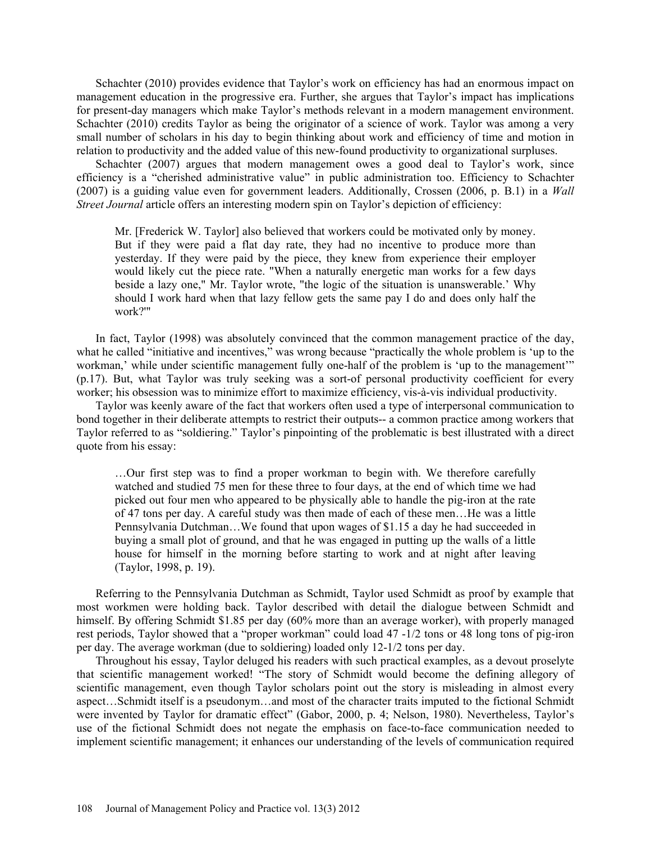Schachter (2010) provides evidence that Taylor's work on efficiency has had an enormous impact on management education in the progressive era. Further, she argues that Taylor's impact has implications for present-day managers which make Taylor's methods relevant in a modern management environment. Schachter (2010) credits Taylor as being the originator of a science of work. Taylor was among a very small number of scholars in his day to begin thinking about work and efficiency of time and motion in relation to productivity and the added value of this new-found productivity to organizational surpluses.

Schachter (2007) argues that modern management owes a good deal to Taylor's work, since efficiency is a "cherished administrative value" in public administration too. Efficiency to Schachter (2007) is a guiding value even for government leaders. Additionally, Crossen (2006, p. B.1) in a *Wall Street Journal* article offers an interesting modern spin on Taylor's depiction of efficiency:

Mr. [Frederick W. Taylor] also believed that workers could be motivated only by money. But if they were paid a flat day rate, they had no incentive to produce more than yesterday. If they were paid by the piece, they knew from experience their employer would likely cut the piece rate. "When a naturally energetic man works for a few days beside a lazy one," Mr. Taylor wrote, "the logic of the situation is unanswerable.' Why should I work hard when that lazy fellow gets the same pay I do and does only half the work?'"

In fact, Taylor (1998) was absolutely convinced that the common management practice of the day, what he called "initiative and incentives," was wrong because "practically the whole problem is 'up to the workman,' while under scientific management fully one-half of the problem is 'up to the management'" (p.17). But, what Taylor was truly seeking was a sort-of personal productivity coefficient for every worker; his obsession was to minimize effort to maximize efficiency, vis-à-vis individual productivity.

Taylor was keenly aware of the fact that workers often used a type of interpersonal communication to bond together in their deliberate attempts to restrict their outputs-- a common practice among workers that Taylor referred to as "soldiering." Taylor's pinpointing of the problematic is best illustrated with a direct quote from his essay:

…Our first step was to find a proper workman to begin with. We therefore carefully watched and studied 75 men for these three to four days, at the end of which time we had picked out four men who appeared to be physically able to handle the pig-iron at the rate of 47 tons per day. A careful study was then made of each of these men…He was a little Pennsylvania Dutchman…We found that upon wages of \$1.15 a day he had succeeded in buying a small plot of ground, and that he was engaged in putting up the walls of a little house for himself in the morning before starting to work and at night after leaving (Taylor, 1998, p. 19).

Referring to the Pennsylvania Dutchman as Schmidt, Taylor used Schmidt as proof by example that most workmen were holding back. Taylor described with detail the dialogue between Schmidt and himself. By offering Schmidt \$1.85 per day (60% more than an average worker), with properly managed rest periods, Taylor showed that a "proper workman" could load 47 -1/2 tons or 48 long tons of pig-iron per day. The average workman (due to soldiering) loaded only 12-1/2 tons per day.

Throughout his essay, Taylor deluged his readers with such practical examples, as a devout proselyte that scientific management worked! "The story of Schmidt would become the defining allegory of scientific management, even though Taylor scholars point out the story is misleading in almost every aspect…Schmidt itself is a pseudonym…and most of the character traits imputed to the fictional Schmidt were invented by Taylor for dramatic effect" (Gabor, 2000, p. 4; Nelson, 1980). Nevertheless, Taylor's use of the fictional Schmidt does not negate the emphasis on face-to-face communication needed to implement scientific management; it enhances our understanding of the levels of communication required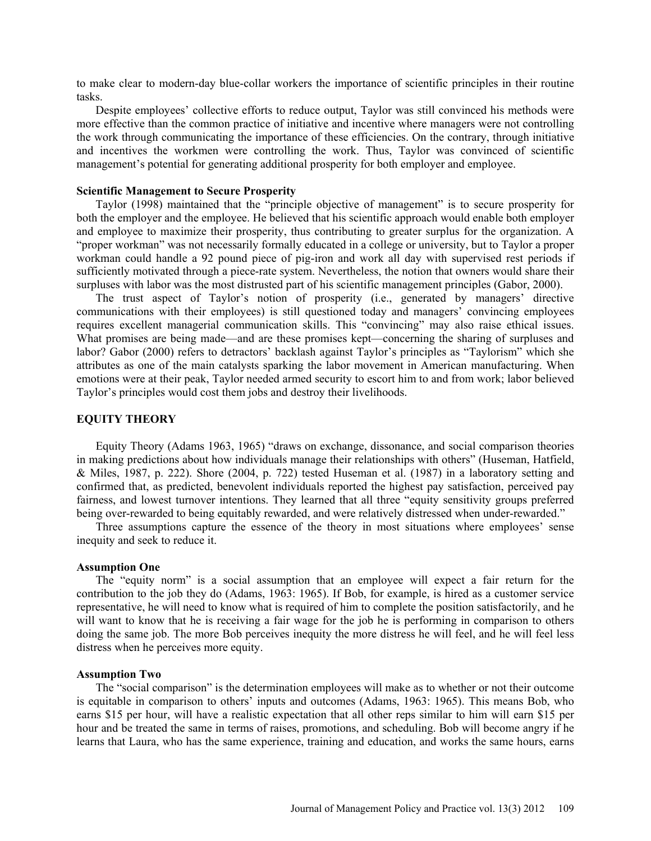to make clear to modern-day blue-collar workers the importance of scientific principles in their routine tasks.

Despite employees' collective efforts to reduce output, Taylor was still convinced his methods were more effective than the common practice of initiative and incentive where managers were not controlling the work through communicating the importance of these efficiencies. On the contrary, through initiative and incentives the workmen were controlling the work. Thus, Taylor was convinced of scientific management's potential for generating additional prosperity for both employer and employee.

### **Scientific Management to Secure Prosperity**

Taylor (1998) maintained that the "principle objective of management" is to secure prosperity for both the employer and the employee. He believed that his scientific approach would enable both employer and employee to maximize their prosperity, thus contributing to greater surplus for the organization. A "proper workman" was not necessarily formally educated in a college or university, but to Taylor a proper workman could handle a 92 pound piece of pig-iron and work all day with supervised rest periods if sufficiently motivated through a piece-rate system. Nevertheless, the notion that owners would share their surpluses with labor was the most distrusted part of his scientific management principles (Gabor, 2000).

The trust aspect of Taylor's notion of prosperity (i.e., generated by managers' directive communications with their employees) is still questioned today and managers' convincing employees requires excellent managerial communication skills. This "convincing" may also raise ethical issues. What promises are being made—and are these promises kept—concerning the sharing of surpluses and labor? Gabor (2000) refers to detractors' backlash against Taylor's principles as "Taylorism" which she attributes as one of the main catalysts sparking the labor movement in American manufacturing. When emotions were at their peak, Taylor needed armed security to escort him to and from work; labor believed Taylor's principles would cost them jobs and destroy their livelihoods.

# **EQUITY THEORY**

Equity Theory (Adams 1963, 1965) "draws on exchange, dissonance, and social comparison theories in making predictions about how individuals manage their relationships with others" (Huseman, Hatfield, & Miles, 1987, p. 222). Shore (2004, p. 722) tested Huseman et al. (1987) in a laboratory setting and confirmed that, as predicted, benevolent individuals reported the highest pay satisfaction, perceived pay fairness, and lowest turnover intentions. They learned that all three "equity sensitivity groups preferred being over-rewarded to being equitably rewarded, and were relatively distressed when under-rewarded."

Three assumptions capture the essence of the theory in most situations where employees' sense inequity and seek to reduce it.

# **Assumption One**

The "equity norm" is a social assumption that an employee will expect a fair return for the contribution to the job they do (Adams, 1963: 1965). If Bob, for example, is hired as a customer service representative, he will need to know what is required of him to complete the position satisfactorily, and he will want to know that he is receiving a fair wage for the job he is performing in comparison to others doing the same job. The more Bob perceives inequity the more distress he will feel, and he will feel less distress when he perceives more equity.

### **Assumption Two**

The "social comparison" is the determination employees will make as to whether or not their outcome is equitable in comparison to others' inputs and outcomes (Adams, 1963: 1965). This means Bob, who earns \$15 per hour, will have a realistic expectation that all other reps similar to him will earn \$15 per hour and be treated the same in terms of raises, promotions, and scheduling. Bob will become angry if he learns that Laura, who has the same experience, training and education, and works the same hours, earns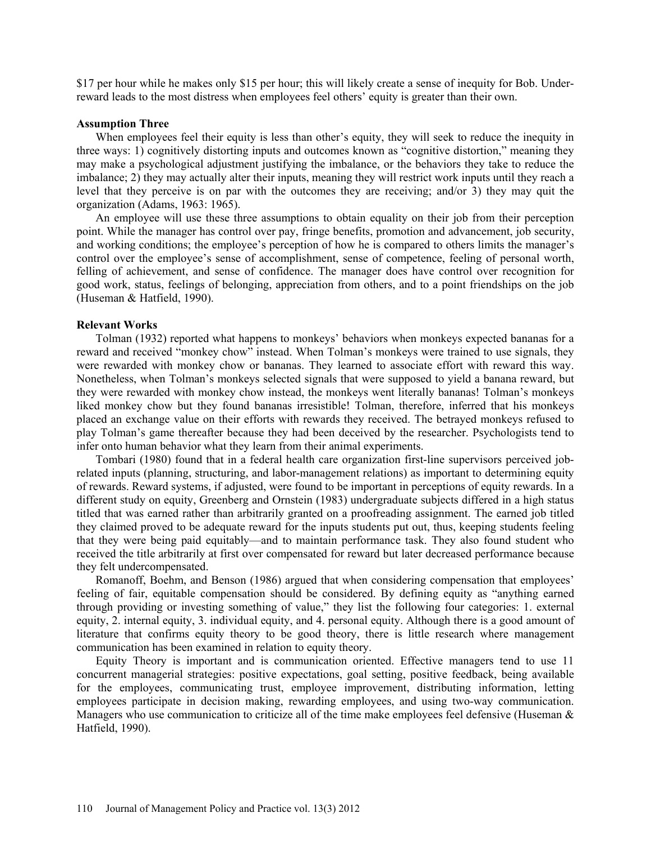\$17 per hour while he makes only \$15 per hour; this will likely create a sense of inequity for Bob. Underreward leads to the most distress when employees feel others' equity is greater than their own.

# **Assumption Three**

When employees feel their equity is less than other's equity, they will seek to reduce the inequity in three ways: 1) cognitively distorting inputs and outcomes known as "cognitive distortion," meaning they may make a psychological adjustment justifying the imbalance, or the behaviors they take to reduce the imbalance; 2) they may actually alter their inputs, meaning they will restrict work inputs until they reach a level that they perceive is on par with the outcomes they are receiving; and/or 3) they may quit the organization (Adams, 1963: 1965).

An employee will use these three assumptions to obtain equality on their job from their perception point. While the manager has control over pay, fringe benefits, promotion and advancement, job security, and working conditions; the employee's perception of how he is compared to others limits the manager's control over the employee's sense of accomplishment, sense of competence, feeling of personal worth, felling of achievement, and sense of confidence. The manager does have control over recognition for good work, status, feelings of belonging, appreciation from others, and to a point friendships on the job (Huseman & Hatfield, 1990).

#### **Relevant Works**

Tolman (1932) reported what happens to monkeys' behaviors when monkeys expected bananas for a reward and received "monkey chow" instead. When Tolman's monkeys were trained to use signals, they were rewarded with monkey chow or bananas. They learned to associate effort with reward this way. Nonetheless, when Tolman's monkeys selected signals that were supposed to yield a banana reward, but they were rewarded with monkey chow instead, the monkeys went literally bananas! Tolman's monkeys liked monkey chow but they found bananas irresistible! Tolman, therefore, inferred that his monkeys placed an exchange value on their efforts with rewards they received. The betrayed monkeys refused to play Tolman's game thereafter because they had been deceived by the researcher. Psychologists tend to infer onto human behavior what they learn from their animal experiments.

Tombari (1980) found that in a federal health care organization first-line supervisors perceived jobrelated inputs (planning, structuring, and labor-management relations) as important to determining equity of rewards. Reward systems, if adjusted, were found to be important in perceptions of equity rewards. In a different study on equity, Greenberg and Ornstein (1983) undergraduate subjects differed in a high status titled that was earned rather than arbitrarily granted on a proofreading assignment. The earned job titled they claimed proved to be adequate reward for the inputs students put out, thus, keeping students feeling that they were being paid equitably—and to maintain performance task. They also found student who received the title arbitrarily at first over compensated for reward but later decreased performance because they felt undercompensated.

Romanoff, Boehm, and Benson (1986) argued that when considering compensation that employees' feeling of fair, equitable compensation should be considered. By defining equity as "anything earned through providing or investing something of value," they list the following four categories: 1. external equity, 2. internal equity, 3. individual equity, and 4. personal equity. Although there is a good amount of literature that confirms equity theory to be good theory, there is little research where management communication has been examined in relation to equity theory.

Equity Theory is important and is communication oriented. Effective managers tend to use 11 concurrent managerial strategies: positive expectations, goal setting, positive feedback, being available for the employees, communicating trust, employee improvement, distributing information, letting employees participate in decision making, rewarding employees, and using two-way communication. Managers who use communication to criticize all of the time make employees feel defensive (Huseman & Hatfield, 1990).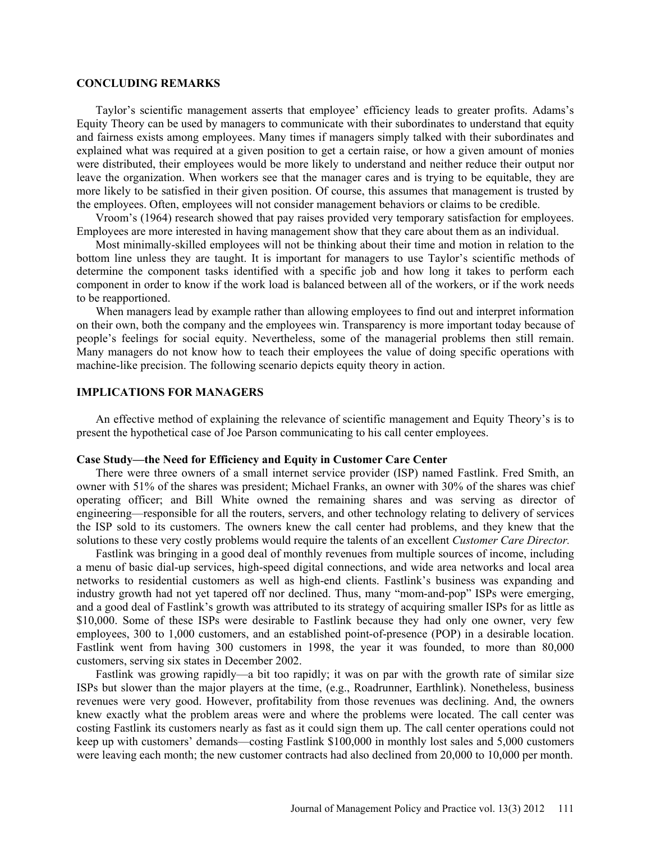# **CONCLUDING REMARKS**

Taylor's scientific management asserts that employee' efficiency leads to greater profits. Adams's Equity Theory can be used by managers to communicate with their subordinates to understand that equity and fairness exists among employees. Many times if managers simply talked with their subordinates and explained what was required at a given position to get a certain raise, or how a given amount of monies were distributed, their employees would be more likely to understand and neither reduce their output nor leave the organization. When workers see that the manager cares and is trying to be equitable, they are more likely to be satisfied in their given position. Of course, this assumes that management is trusted by the employees. Often, employees will not consider management behaviors or claims to be credible.

Vroom's (1964) research showed that pay raises provided very temporary satisfaction for employees. Employees are more interested in having management show that they care about them as an individual.

Most minimally-skilled employees will not be thinking about their time and motion in relation to the bottom line unless they are taught. It is important for managers to use Taylor's scientific methods of determine the component tasks identified with a specific job and how long it takes to perform each component in order to know if the work load is balanced between all of the workers, or if the work needs to be reapportioned.

When managers lead by example rather than allowing employees to find out and interpret information on their own, both the company and the employees win. Transparency is more important today because of people's feelings for social equity. Nevertheless, some of the managerial problems then still remain. Many managers do not know how to teach their employees the value of doing specific operations with machine-like precision. The following scenario depicts equity theory in action.

# **IMPLICATIONS FOR MANAGERS**

An effective method of explaining the relevance of scientific management and Equity Theory's is to present the hypothetical case of Joe Parson communicating to his call center employees.

### **Case Study—the Need for Efficiency and Equity in Customer Care Center**

There were three owners of a small internet service provider (ISP) named Fastlink. Fred Smith, an owner with 51% of the shares was president; Michael Franks, an owner with 30% of the shares was chief operating officer; and Bill White owned the remaining shares and was serving as director of engineering—responsible for all the routers, servers, and other technology relating to delivery of services the ISP sold to its customers. The owners knew the call center had problems, and they knew that the solutions to these very costly problems would require the talents of an excellent *Customer Care Director.*

Fastlink was bringing in a good deal of monthly revenues from multiple sources of income, including a menu of basic dial-up services, high-speed digital connections, and wide area networks and local area networks to residential customers as well as high-end clients. Fastlink's business was expanding and industry growth had not yet tapered off nor declined. Thus, many "mom-and-pop" ISPs were emerging, and a good deal of Fastlink's growth was attributed to its strategy of acquiring smaller ISPs for as little as \$10,000. Some of these ISPs were desirable to Fastlink because they had only one owner, very few employees, 300 to 1,000 customers, and an established point-of-presence (POP) in a desirable location. Fastlink went from having 300 customers in 1998, the year it was founded, to more than 80,000 customers, serving six states in December 2002.

Fastlink was growing rapidly—a bit too rapidly; it was on par with the growth rate of similar size ISPs but slower than the major players at the time, (e.g., Roadrunner, Earthlink). Nonetheless, business revenues were very good. However, profitability from those revenues was declining. And, the owners knew exactly what the problem areas were and where the problems were located. The call center was costing Fastlink its customers nearly as fast as it could sign them up. The call center operations could not keep up with customers' demands—costing Fastlink \$100,000 in monthly lost sales and 5,000 customers were leaving each month; the new customer contracts had also declined from 20,000 to 10,000 per month.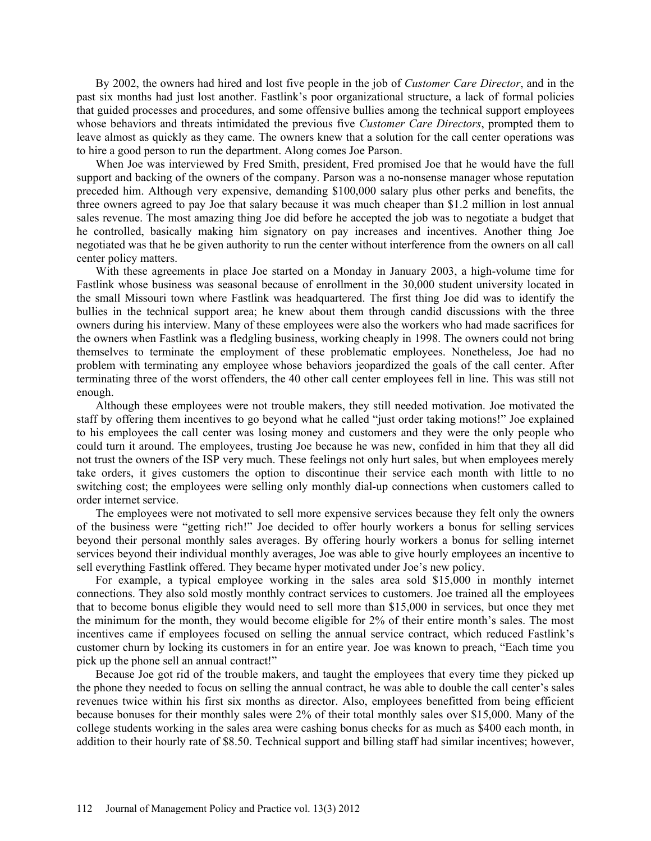By 2002, the owners had hired and lost five people in the job of *Customer Care Director*, and in the past six months had just lost another. Fastlink's poor organizational structure, a lack of formal policies that guided processes and procedures, and some offensive bullies among the technical support employees whose behaviors and threats intimidated the previous five *Customer Care Directors*, prompted them to leave almost as quickly as they came. The owners knew that a solution for the call center operations was to hire a good person to run the department. Along comes Joe Parson.

When Joe was interviewed by Fred Smith, president, Fred promised Joe that he would have the full support and backing of the owners of the company. Parson was a no-nonsense manager whose reputation preceded him. Although very expensive, demanding \$100,000 salary plus other perks and benefits, the three owners agreed to pay Joe that salary because it was much cheaper than \$1.2 million in lost annual sales revenue. The most amazing thing Joe did before he accepted the job was to negotiate a budget that he controlled, basically making him signatory on pay increases and incentives. Another thing Joe negotiated was that he be given authority to run the center without interference from the owners on all call center policy matters.

With these agreements in place Joe started on a Monday in January 2003, a high-volume time for Fastlink whose business was seasonal because of enrollment in the 30,000 student university located in the small Missouri town where Fastlink was headquartered. The first thing Joe did was to identify the bullies in the technical support area; he knew about them through candid discussions with the three owners during his interview. Many of these employees were also the workers who had made sacrifices for the owners when Fastlink was a fledgling business, working cheaply in 1998. The owners could not bring themselves to terminate the employment of these problematic employees. Nonetheless, Joe had no problem with terminating any employee whose behaviors jeopardized the goals of the call center. After terminating three of the worst offenders, the 40 other call center employees fell in line. This was still not enough.

Although these employees were not trouble makers, they still needed motivation. Joe motivated the staff by offering them incentives to go beyond what he called "just order taking motions!" Joe explained to his employees the call center was losing money and customers and they were the only people who could turn it around. The employees, trusting Joe because he was new, confided in him that they all did not trust the owners of the ISP very much. These feelings not only hurt sales, but when employees merely take orders, it gives customers the option to discontinue their service each month with little to no switching cost; the employees were selling only monthly dial-up connections when customers called to order internet service.

The employees were not motivated to sell more expensive services because they felt only the owners of the business were "getting rich!" Joe decided to offer hourly workers a bonus for selling services beyond their personal monthly sales averages. By offering hourly workers a bonus for selling internet services beyond their individual monthly averages, Joe was able to give hourly employees an incentive to sell everything Fastlink offered. They became hyper motivated under Joe's new policy.

For example, a typical employee working in the sales area sold \$15,000 in monthly internet connections. They also sold mostly monthly contract services to customers. Joe trained all the employees that to become bonus eligible they would need to sell more than \$15,000 in services, but once they met the minimum for the month, they would become eligible for 2% of their entire month's sales. The most incentives came if employees focused on selling the annual service contract, which reduced Fastlink's customer churn by locking its customers in for an entire year. Joe was known to preach, "Each time you pick up the phone sell an annual contract!"

Because Joe got rid of the trouble makers, and taught the employees that every time they picked up the phone they needed to focus on selling the annual contract, he was able to double the call center's sales revenues twice within his first six months as director. Also, employees benefitted from being efficient because bonuses for their monthly sales were 2% of their total monthly sales over \$15,000. Many of the college students working in the sales area were cashing bonus checks for as much as \$400 each month, in addition to their hourly rate of \$8.50. Technical support and billing staff had similar incentives; however,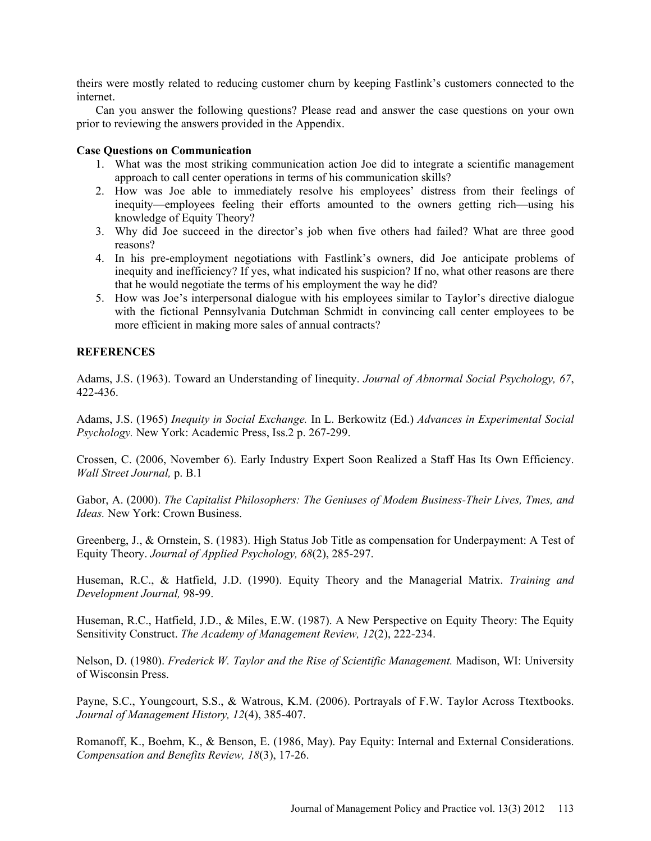theirs were mostly related to reducing customer churn by keeping Fastlink's customers connected to the internet.

Can you answer the following questions? Please read and answer the case questions on your own prior to reviewing the answers provided in the Appendix.

# **Case Questions on Communication**

- 1. What was the most striking communication action Joe did to integrate a scientific management approach to call center operations in terms of his communication skills?
- 2. How was Joe able to immediately resolve his employees' distress from their feelings of inequity—employees feeling their efforts amounted to the owners getting rich—using his knowledge of Equity Theory?
- 3. Why did Joe succeed in the director's job when five others had failed? What are three good reasons?
- 4. In his pre-employment negotiations with Fastlink's owners, did Joe anticipate problems of inequity and inefficiency? If yes, what indicated his suspicion? If no, what other reasons are there that he would negotiate the terms of his employment the way he did?
- 5. How was Joe's interpersonal dialogue with his employees similar to Taylor's directive dialogue with the fictional Pennsylvania Dutchman Schmidt in convincing call center employees to be more efficient in making more sales of annual contracts?

# **REFERENCES**

Adams, J.S. (1963). Toward an Understanding of Iinequity. *Journal of Abnormal Social Psychology, 67*, 422-436.

Adams, J.S. (1965) *Inequity in Social Exchange.* In L. Berkowitz (Ed.) *Advances in Experimental Social Psychology.* New York: Academic Press, Iss.2 p. 267-299.

Crossen, C. (2006, November 6). Early Industry Expert Soon Realized a Staff Has Its Own Efficiency. *Wall Street Journal,* p. B.1

Gabor, A. (2000). *The Capitalist Philosophers: The Geniuses of Modem Business-Their Lives, Tmes, and Ideas.* New York: Crown Business.

Greenberg, J., & Ornstein, S. (1983). High Status Job Title as compensation for Underpayment: A Test of Equity Theory. *Journal of Applied Psychology, 68*(2), 285-297.

Huseman, R.C., & Hatfield, J.D. (1990). Equity Theory and the Managerial Matrix. *Training and Development Journal,* 98-99.

Huseman, R.C., Hatfield, J.D., & Miles, E.W. (1987). A New Perspective on Equity Theory: The Equity Sensitivity Construct. *The Academy of Management Review, 12*(2), 222-234.

Nelson, D. (1980). *Frederick W. Taylor and the Rise of Scientific Management.* Madison, WI: University of Wisconsin Press.

Payne, S.C., Youngcourt, S.S., & Watrous, K.M. (2006). Portrayals of F.W. Taylor Across Ttextbooks. *Journal of Management History, 12*(4), 385-407.

Romanoff, K., Boehm, K., & Benson, E. (1986, May). Pay Equity: Internal and External Considerations. *Compensation and Benefits Review, 18*(3), 17-26.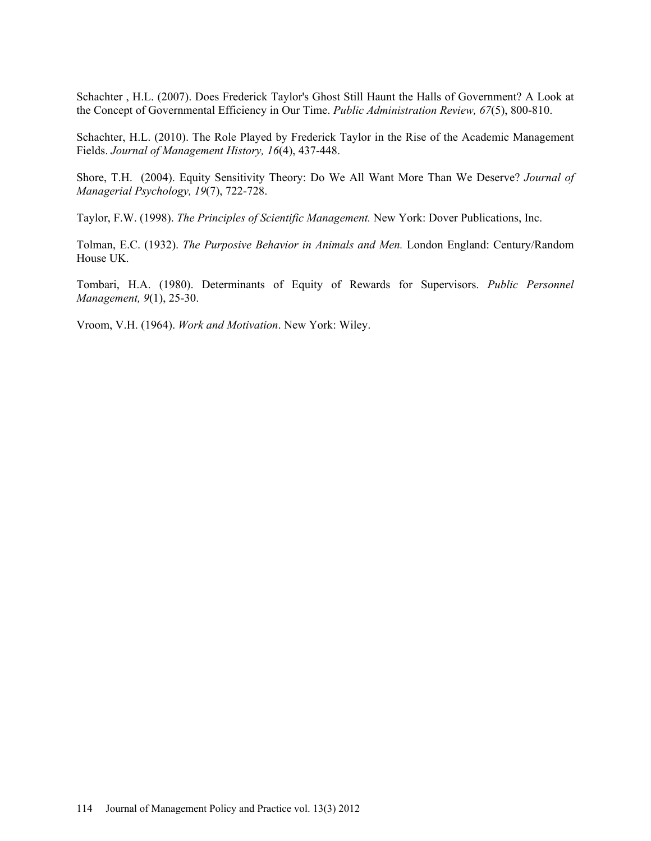Schachter , H.L. (2007). Does Frederick Taylor's Ghost Still Haunt the Halls of Government? A Look at the Concept of Governmental Efficiency in Our Time. *Public Administration Review, 67*(5), 800-810.

Schachter, H.L. (2010). The Role Played by Frederick Taylor in the Rise of the Academic Management Fields. *Journal of Management History, 16*(4), 437-448.

Shore, T.H. (2004). Equity Sensitivity Theory: Do We All Want More Than We Deserve? *Journal of Managerial Psychology, 19*(7), 722-728.

Taylor, F.W. (1998). *The Principles of Scientific Management.* New York: Dover Publications, Inc.

Tolman, E.C. (1932). *The Purposive Behavior in Animals and Men.* London England: Century/Random House UK.

Tombari, H.A. (1980). Determinants of Equity of Rewards for Supervisors. *Public Personnel Management, 9*(1), 25-30.

Vroom, V.H. (1964). *Work and Motivation*. New York: Wiley.